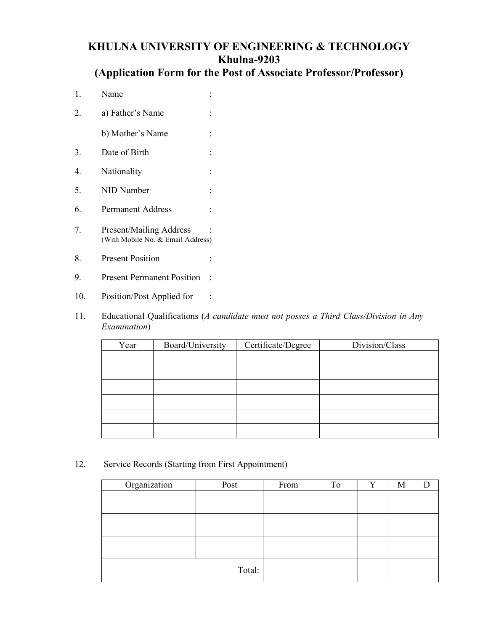# **KHULNA UNIVERSITY OF ENGINEERING & TECHNOLOGY Khulna-9203**

# **(Application Form for the Post of Associate Professor/Professor)**

- 1. Name : 2. a) Father's Name : b) Mother's Name : 3. Date of Birth : 4. Nationality : 5. NID Number : 6. Permanent Address : 7. Present/Mailing Address : (With Mobile No. & Email Address) 8. Present Position :
- 9. Present Permanent Position :
- 10. Position/Post Applied for :
- 11. Educational Qualifications (*A candidate must not posses a Third Class/Division in Any Examination*)

| Year | Board/University | Certificate/Degree | Division/Class |
|------|------------------|--------------------|----------------|
|      |                  |                    |                |
|      |                  |                    |                |
|      |                  |                    |                |
|      |                  |                    |                |
|      |                  |                    |                |
|      |                  |                    |                |

12. Service Records (Starting from First Appointment)

| Organization | Post   | From | To | V | M |  |
|--------------|--------|------|----|---|---|--|
|              |        |      |    |   |   |  |
|              |        |      |    |   |   |  |
|              |        |      |    |   |   |  |
|              |        |      |    |   |   |  |
|              |        |      |    |   |   |  |
|              |        |      |    |   |   |  |
|              | Total: |      |    |   |   |  |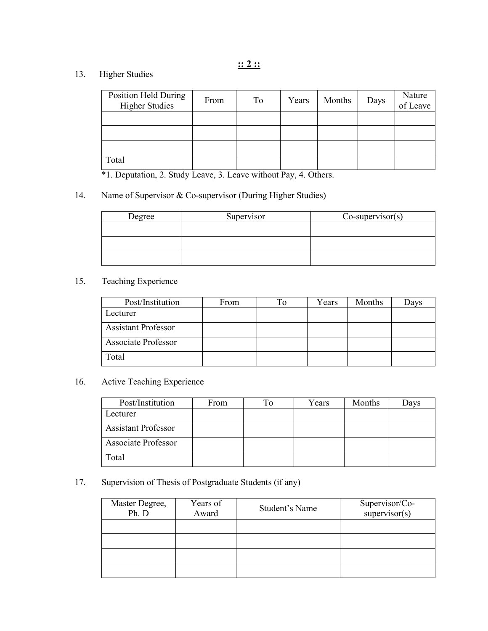# 13. Higher Studies

| <b>Position Held During</b><br><b>Higher Studies</b> | From | To | Years | Months | Days | Nature<br>of Leave |
|------------------------------------------------------|------|----|-------|--------|------|--------------------|
|                                                      |      |    |       |        |      |                    |
|                                                      |      |    |       |        |      |                    |
|                                                      |      |    |       |        |      |                    |
| Total                                                |      |    |       |        |      |                    |

\*1. Deputation, 2. Study Leave, 3. Leave without Pay, 4. Others.

# 14. Name of Supervisor & Co-supervisor (During Higher Studies)

| Degree | Supervisor | $Co-supervisor(s)$ |
|--------|------------|--------------------|
|        |            |                    |
|        |            |                    |
|        |            |                    |

# 15. Teaching Experience

| Post/Institution           | From | To | Years | Months | Davs |
|----------------------------|------|----|-------|--------|------|
| Lecturer                   |      |    |       |        |      |
| <b>Assistant Professor</b> |      |    |       |        |      |
| <b>Associate Professor</b> |      |    |       |        |      |
| Total                      |      |    |       |        |      |

# 16. Active Teaching Experience

| Post/Institution           | From | Гo | Years | Months | Davs |
|----------------------------|------|----|-------|--------|------|
| Lecturer                   |      |    |       |        |      |
| <b>Assistant Professor</b> |      |    |       |        |      |
| <b>Associate Professor</b> |      |    |       |        |      |
| Total                      |      |    |       |        |      |

# 17. Supervision of Thesis of Postgraduate Students (if any)

| Master Degree,<br>Ph. D | Years of<br>Award | Student's Name | Supervisor/Co-<br>supervisor(s) |
|-------------------------|-------------------|----------------|---------------------------------|
|                         |                   |                |                                 |
|                         |                   |                |                                 |
|                         |                   |                |                                 |
|                         |                   |                |                                 |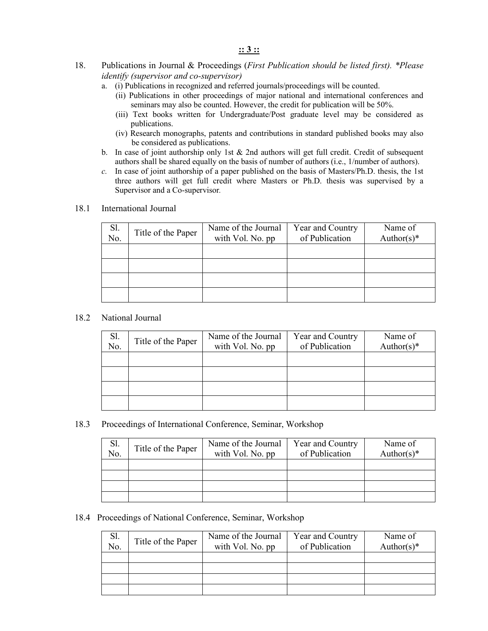#### **:: 3 ::**

- 18. Publications in Journal & Proceedings (*First Publication should be listed first). \*Please identify (supervisor and co-supervisor)*
	- a. (i) Publications in recognized and referred journals/proceedings will be counted.
		- (ii) Publications in other proceedings of major national and international conferences and seminars may also be counted. However, the credit for publication will be 50%.
		- (iii) Text books written for Undergraduate/Post graduate level may be considered as publications.
		- (iv) Research monographs, patents and contributions in standard published books may also be considered as publications.
	- b. In case of joint authorship only 1st  $\&$  2nd authors will get full credit. Credit of subsequent authors shall be shared equally on the basis of number of authors (i.e., 1/number of authors).
	- *c.* In case of joint authorship of a paper published on the basis of Masters/Ph.D. thesis, the 1st three authors will get full credit where Masters or Ph.D. thesis was supervised by a Supervisor and a Co-supervisor*.*

#### 18.1 International Journal

| Sl.<br>No. | Title of the Paper | Name of the Journal | Year and Country | Name of       |
|------------|--------------------|---------------------|------------------|---------------|
|            |                    | with Vol. No. pp    | of Publication   | Author(s) $*$ |
|            |                    |                     |                  |               |
|            |                    |                     |                  |               |
|            |                    |                     |                  |               |
|            |                    |                     |                  |               |
|            |                    |                     |                  |               |
|            |                    |                     |                  |               |
|            |                    |                     |                  |               |
|            |                    |                     |                  |               |

#### 18.2 National Journal

| Sl.<br>No. | Title of the Paper | Name of the Journal<br>with Vol. No. pp | Year and Country<br>of Publication | Name of<br>Author(s) $*$ |
|------------|--------------------|-----------------------------------------|------------------------------------|--------------------------|
|            |                    |                                         |                                    |                          |
|            |                    |                                         |                                    |                          |
|            |                    |                                         |                                    |                          |
|            |                    |                                         |                                    |                          |

#### 18.3 Proceedings of International Conference, Seminar, Workshop

| Sl.<br>No. | Title of the Paper | Name of the Journal<br>with Vol. No. pp | Year and Country<br>of Publication | Name of<br>Author(s) $*$ |
|------------|--------------------|-----------------------------------------|------------------------------------|--------------------------|
|            |                    |                                         |                                    |                          |
|            |                    |                                         |                                    |                          |
|            |                    |                                         |                                    |                          |
|            |                    |                                         |                                    |                          |

#### 18.4 Proceedings of National Conference, Seminar, Workshop

| Sl.<br>No. | Title of the Paper | Name of the Journal<br>with Vol. No. pp | Year and Country<br>of Publication | Name of<br>Author(s) $*$ |
|------------|--------------------|-----------------------------------------|------------------------------------|--------------------------|
|            |                    |                                         |                                    |                          |
|            |                    |                                         |                                    |                          |
|            |                    |                                         |                                    |                          |
|            |                    |                                         |                                    |                          |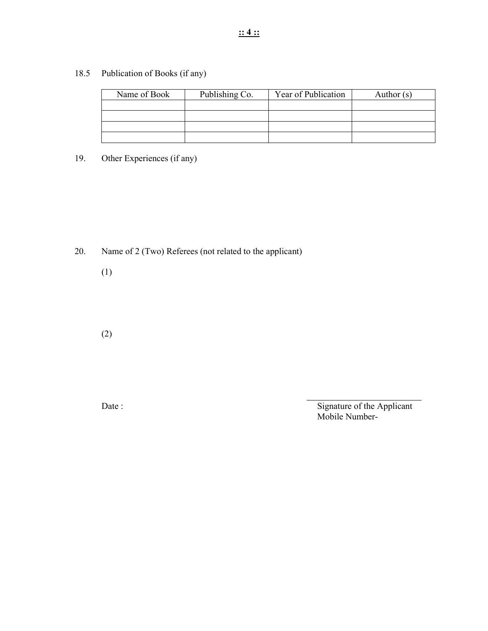18.5 Publication of Books (if any)

| Name of Book | Publishing Co. | Year of Publication | Author $(s)$ |
|--------------|----------------|---------------------|--------------|
|              |                |                     |              |
|              |                |                     |              |
|              |                |                     |              |
|              |                |                     |              |

19. Other Experiences (if any)

20. Name of 2 (Two) Referees (not related to the applicant)

(1)

(2)

Date : Signature of the Applicant Mobile Number-